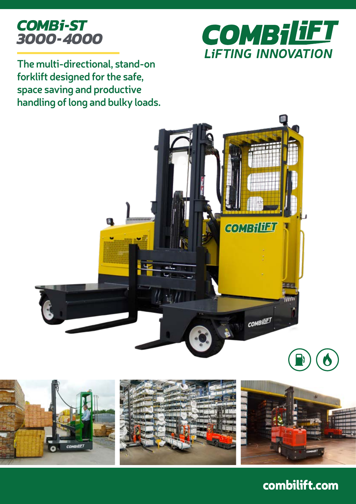



**The multi-directional, stand-on forklift designed for the safe, space saving and productive handling of long and bulky loads.**





combilift.com